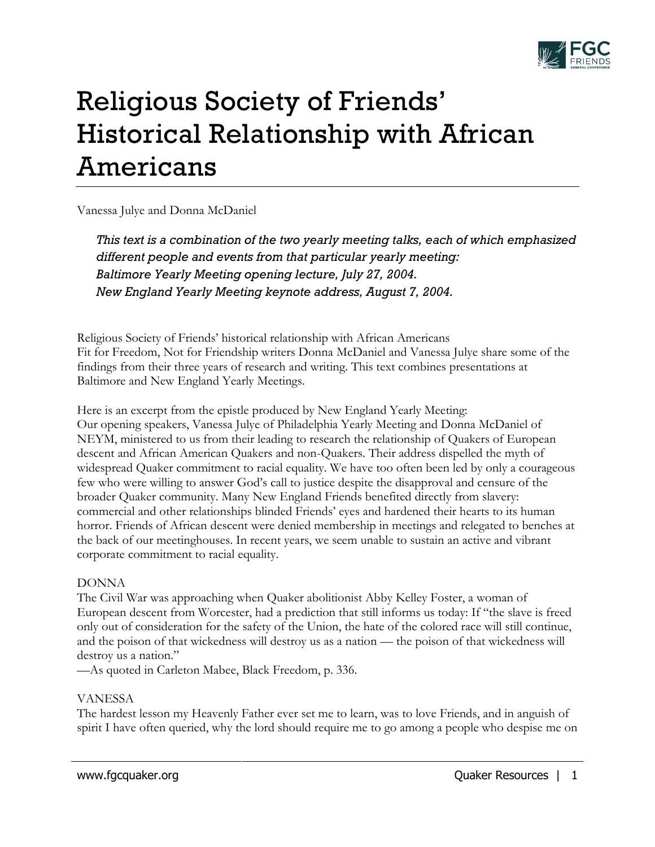

# Religious Society of Friends' Historical Relationship with African Americans

Vanessa Julye and Donna McDaniel

*This text is a combination of the two yearly meeting talks, each of which emphasized different people and events from that particular yearly meeting: Baltimore Yearly Meeting opening lecture, July 27, 2004. New England Yearly Meeting keynote address, August 7, 2004.*

Religious Society of Friends' historical relationship with African Americans Fit for Freedom, Not for Friendship writers Donna McDaniel and Vanessa Julye share some of the findings from their three years of research and writing. This text combines presentations at Baltimore and New England Yearly Meetings.

Here is an excerpt from the epistle produced by New England Yearly Meeting: Our opening speakers, Vanessa Julye of Philadelphia Yearly Meeting and Donna McDaniel of NEYM, ministered to us from their leading to research the relationship of Quakers of European descent and African American Quakers and non-Quakers. Their address dispelled the myth of widespread Quaker commitment to racial equality. We have too often been led by only a courageous few who were willing to answer God's call to justice despite the disapproval and censure of the broader Quaker community. Many New England Friends benefited directly from slavery: commercial and other relationships blinded Friends' eyes and hardened their hearts to its human horror. Friends of African descent were denied membership in meetings and relegated to benches at the back of our meetinghouses. In recent years, we seem unable to sustain an active and vibrant corporate commitment to racial equality.

## DONNA

The Civil War was approaching when Quaker abolitionist Abby Kelley Foster, a woman of European descent from Worcester, had a prediction that still informs us today: If "the slave is freed only out of consideration for the safety of the Union, the hate of the colored race will still continue, and the poison of that wickedness will destroy us as a nation — the poison of that wickedness will destroy us a nation."

—As quoted in Carleton Mabee, Black Freedom, p. 336.

## VANESSA

The hardest lesson my Heavenly Father ever set me to learn, was to love Friends, and in anguish of spirit I have often queried, why the lord should require me to go among a people who despise me on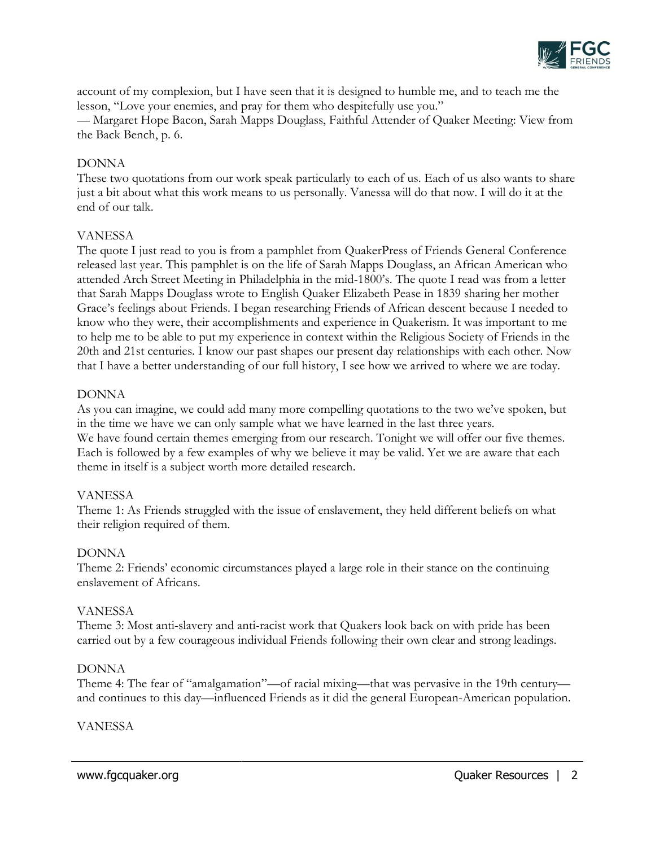

account of my complexion, but I have seen that it is designed to humble me, and to teach me the lesson, "Love your enemies, and pray for them who despitefully use you." — Margaret Hope Bacon, Sarah Mapps Douglass, Faithful Attender of Quaker Meeting: View from the Back Bench, p. 6.

#### DONNA

These two quotations from our work speak particularly to each of us. Each of us also wants to share just a bit about what this work means to us personally. Vanessa will do that now. I will do it at the end of our talk.

#### VANESSA

The quote I just read to you is from a pamphlet from QuakerPress of Friends General Conference released last year. This pamphlet is on the life of Sarah Mapps Douglass, an African American who attended Arch Street Meeting in Philadelphia in the mid-1800's. The quote I read was from a letter that Sarah Mapps Douglass wrote to English Quaker Elizabeth Pease in 1839 sharing her mother Grace's feelings about Friends. I began researching Friends of African descent because I needed to know who they were, their accomplishments and experience in Quakerism. It was important to me to help me to be able to put my experience in context within the Religious Society of Friends in the 20th and 21st centuries. I know our past shapes our present day relationships with each other. Now that I have a better understanding of our full history, I see how we arrived to where we are today.

#### DONNA

As you can imagine, we could add many more compelling quotations to the two we've spoken, but in the time we have we can only sample what we have learned in the last three years. We have found certain themes emerging from our research. Tonight we will offer our five themes. Each is followed by a few examples of why we believe it may be valid. Yet we are aware that each theme in itself is a subject worth more detailed research.

## VANESSA

Theme 1: As Friends struggled with the issue of enslavement, they held different beliefs on what their religion required of them.

## DONNA

Theme 2: Friends' economic circumstances played a large role in their stance on the continuing enslavement of Africans.

#### VANESSA

Theme 3: Most anti-slavery and anti-racist work that Quakers look back on with pride has been carried out by a few courageous individual Friends following their own clear and strong leadings.

## DONNA

Theme 4: The fear of "amalgamation"—of racial mixing—that was pervasive in the 19th century and continues to this day—influenced Friends as it did the general European-American population.

#### VANESSA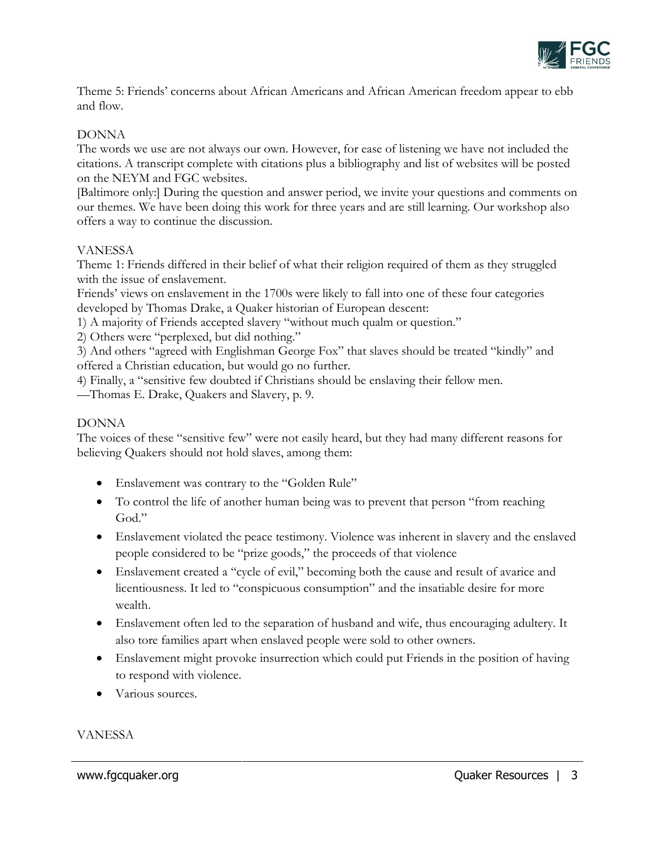

Theme 5: Friends' concerns about African Americans and African American freedom appear to ebb and flow.

## DONNA

The words we use are not always our own. However, for ease of listening we have not included the citations. A transcript complete with citations plus a bibliography and list of websites will be posted on the NEYM and FGC websites.

[Baltimore only:] During the question and answer period, we invite your questions and comments on our themes. We have been doing this work for three years and are still learning. Our workshop also offers a way to continue the discussion.

## VANESSA

Theme 1: Friends differed in their belief of what their religion required of them as they struggled with the issue of enslavement.

Friends' views on enslavement in the 1700s were likely to fall into one of these four categories developed by Thomas Drake, a Quaker historian of European descent:

1) A majority of Friends accepted slavery "without much qualm or question."

2) Others were "perplexed, but did nothing."

3) And others "agreed with Englishman George Fox" that slaves should be treated "kindly" and offered a Christian education, but would go no further.

4) Finally, a "sensitive few doubted if Christians should be enslaving their fellow men.

—Thomas E. Drake, Quakers and Slavery, p. 9.

#### DONNA

The voices of these "sensitive few" were not easily heard, but they had many different reasons for believing Quakers should not hold slaves, among them:

- Enslavement was contrary to the "Golden Rule"
- To control the life of another human being was to prevent that person "from reaching God."
- Enslavement violated the peace testimony. Violence was inherent in slavery and the enslaved people considered to be "prize goods," the proceeds of that violence
- Enslavement created a "cycle of evil," becoming both the cause and result of avarice and licentiousness. It led to "conspicuous consumption" and the insatiable desire for more wealth.
- Enslavement often led to the separation of husband and wife, thus encouraging adultery. It also tore families apart when enslaved people were sold to other owners.
- Enslavement might provoke insurrection which could put Friends in the position of having to respond with violence.
- Various sources.

## VANESSA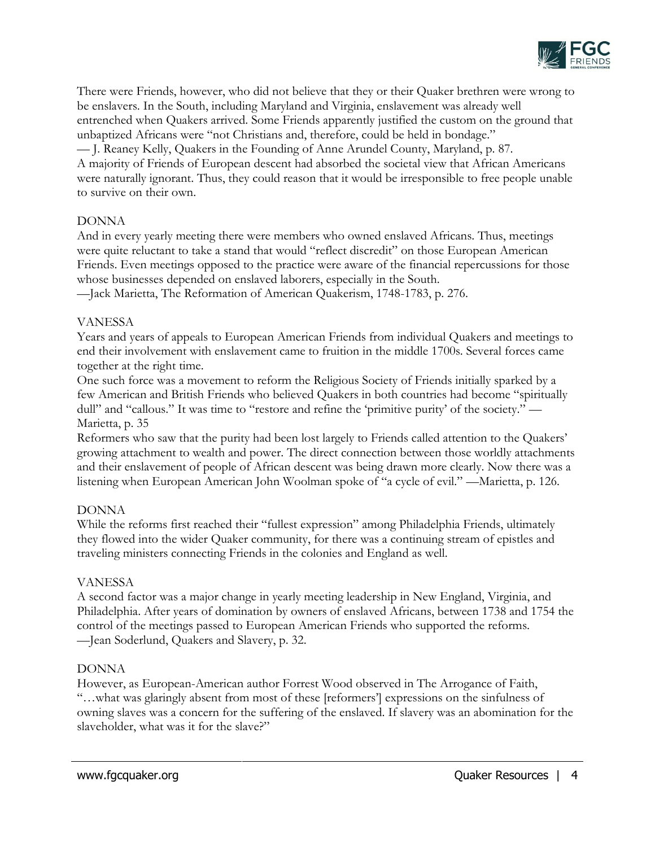

There were Friends, however, who did not believe that they or their Quaker brethren were wrong to be enslavers. In the South, including Maryland and Virginia, enslavement was already well entrenched when Quakers arrived. Some Friends apparently justified the custom on the ground that unbaptized Africans were "not Christians and, therefore, could be held in bondage." — J. Reaney Kelly, Quakers in the Founding of Anne Arundel County, Maryland, p. 87. A majority of Friends of European descent had absorbed the societal view that African Americans were naturally ignorant. Thus, they could reason that it would be irresponsible to free people unable to survive on their own.

## DONNA

And in every yearly meeting there were members who owned enslaved Africans. Thus, meetings were quite reluctant to take a stand that would "reflect discredit" on those European American Friends. Even meetings opposed to the practice were aware of the financial repercussions for those whose businesses depended on enslaved laborers, especially in the South.

—Jack Marietta, The Reformation of American Quakerism, 1748-1783, p. 276.

## VANESSA

Years and years of appeals to European American Friends from individual Quakers and meetings to end their involvement with enslavement came to fruition in the middle 1700s. Several forces came together at the right time.

One such force was a movement to reform the Religious Society of Friends initially sparked by a few American and British Friends who believed Quakers in both countries had become "spiritually dull" and "callous." It was time to "restore and refine the 'primitive purity' of the society." — Marietta, p. 35

Reformers who saw that the purity had been lost largely to Friends called attention to the Quakers' growing attachment to wealth and power. The direct connection between those worldly attachments and their enslavement of people of African descent was being drawn more clearly. Now there was a listening when European American John Woolman spoke of "a cycle of evil." —Marietta, p. 126.

# DONNA

While the reforms first reached their "fullest expression" among Philadelphia Friends, ultimately they flowed into the wider Quaker community, for there was a continuing stream of epistles and traveling ministers connecting Friends in the colonies and England as well.

# VANESSA

A second factor was a major change in yearly meeting leadership in New England, Virginia, and Philadelphia. After years of domination by owners of enslaved Africans, between 1738 and 1754 the control of the meetings passed to European American Friends who supported the reforms. —Jean Soderlund, Quakers and Slavery, p. 32.

# DONNA

However, as European-American author Forrest Wood observed in The Arrogance of Faith, "…what was glaringly absent from most of these [reformers'] expressions on the sinfulness of owning slaves was a concern for the suffering of the enslaved. If slavery was an abomination for the slaveholder, what was it for the slave?"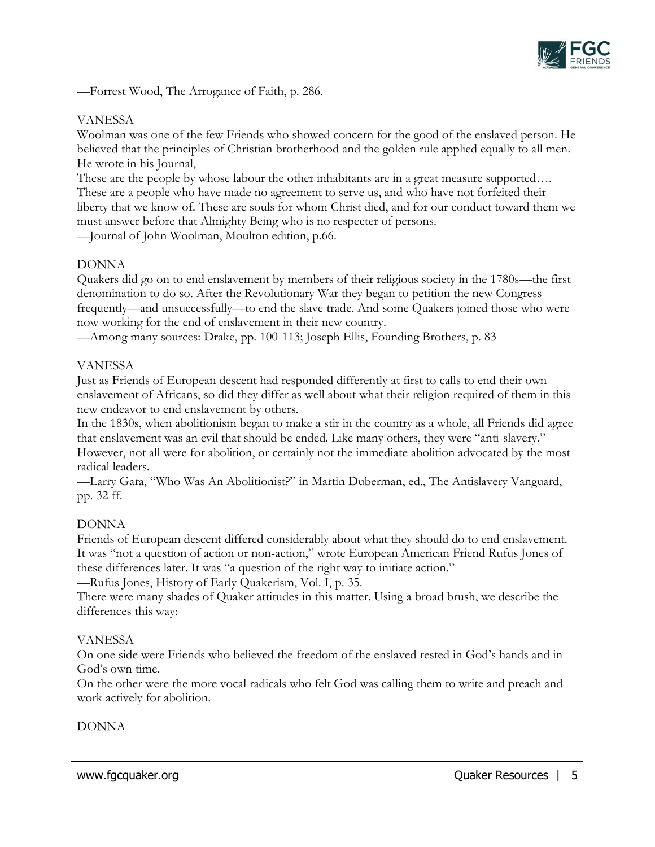

—Forrest Wood, The Arrogance of Faith, p. 286.

## VANESSA

Woolman was one of the few Friends who showed concern for the good of the enslaved person. He believed that the principles of Christian brotherhood and the golden rule applied equally to all men. He wrote in his Journal,

These are the people by whose labour the other inhabitants are in a great measure supported.... These are a people who have made no agreement to serve us, and who have not forfeited their liberty that we know of. These are souls for whom Christ died, and for our conduct toward them we must answer before that Almighty Being who is no respecter of persons.

—Journal of John Woolman, Moulton edition, p.66.

# DONNA

Quakers did go on to end enslavement by members of their religious society in the 1780s—the first denomination to do so. After the Revolutionary War they began to petition the new Congress frequently—and unsuccessfully—to end the slave trade. And some Quakers joined those who were now working for the end of enslavement in their new country.

—Among many sources: Drake, pp. 100-113; Joseph Ellis, Founding Brothers, p. 83

## VANESSA

Just as Friends of European descent had responded differently at first to calls to end their own enslavement of Africans, so did they differ as well about what their religion required of them in this new endeavor to end enslavement by others.

In the 1830s, when abolitionism began to make a stir in the country as a whole, all Friends did agree that enslavement was an evil that should be ended. Like many others, they were "anti-slavery." However, not all were for abolition, or certainly not the immediate abolition advocated by the most radical leaders.

—Larry Gara, "Who Was An Abolitionist?" in Martin Duberman, ed., The Antislavery Vanguard, pp. 32 ff.

## DONNA

Friends of European descent differed considerably about what they should do to end enslavement. It was "not a question of action or non-action," wrote European American Friend Rufus Jones of these differences later. It was "a question of the right way to initiate action."

—Rufus Jones, History of Early Quakerism, Vol. I, p. 35.

There were many shades of Quaker attitudes in this matter. Using a broad brush, we describe the differences this way:

## VANESSA

On one side were Friends who believed the freedom of the enslaved rested in God's hands and in God's own time.

On the other were the more vocal radicals who felt God was calling them to write and preach and work actively for abolition.

# DONNA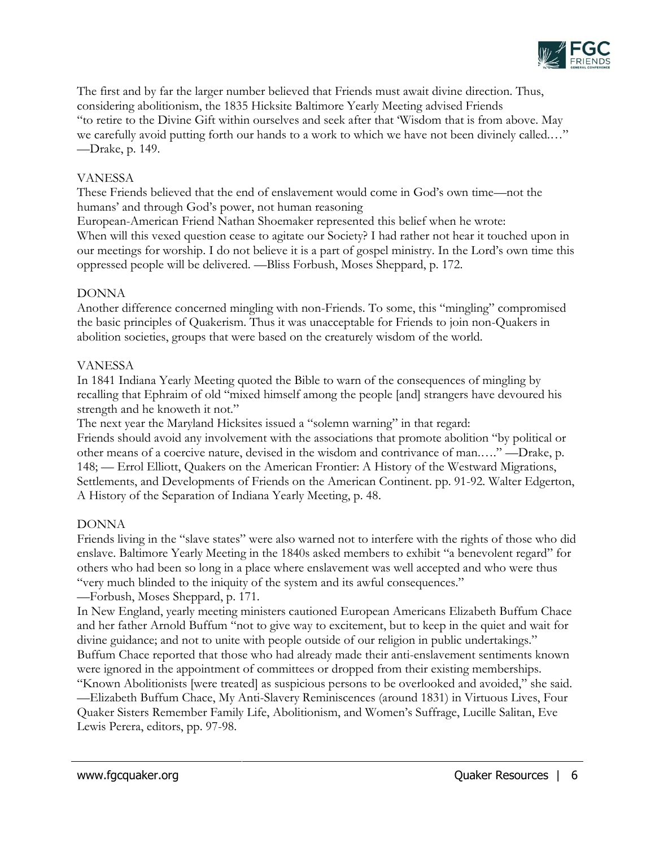

The first and by far the larger number believed that Friends must await divine direction. Thus, considering abolitionism, the 1835 Hicksite Baltimore Yearly Meeting advised Friends "to retire to the Divine Gift within ourselves and seek after that 'Wisdom that is from above. May we carefully avoid putting forth our hands to a work to which we have not been divinely called.…" —Drake, p. 149.

## VANESSA

These Friends believed that the end of enslavement would come in God's own time—not the humans' and through God's power, not human reasoning

European-American Friend Nathan Shoemaker represented this belief when he wrote: When will this vexed question cease to agitate our Society? I had rather not hear it touched upon in our meetings for worship. I do not believe it is a part of gospel ministry. In the Lord's own time this oppressed people will be delivered. —Bliss Forbush, Moses Sheppard, p. 172.

## DONNA

Another difference concerned mingling with non-Friends. To some, this "mingling" compromised the basic principles of Quakerism. Thus it was unacceptable for Friends to join non-Quakers in abolition societies, groups that were based on the creaturely wisdom of the world.

## VANESSA

In 1841 Indiana Yearly Meeting quoted the Bible to warn of the consequences of mingling by recalling that Ephraim of old "mixed himself among the people [and] strangers have devoured his strength and he knoweth it not."

The next year the Maryland Hicksites issued a "solemn warning" in that regard: Friends should avoid any involvement with the associations that promote abolition "by political or other means of a coercive nature, devised in the wisdom and contrivance of man.…." —Drake, p. 148; — Errol Elliott, Quakers on the American Frontier: A History of the Westward Migrations, Settlements, and Developments of Friends on the American Continent. pp. 91-92. Walter Edgerton,

## DONNA

Friends living in the "slave states" were also warned not to interfere with the rights of those who did enslave. Baltimore Yearly Meeting in the 1840s asked members to exhibit "a benevolent regard" for others who had been so long in a place where enslavement was well accepted and who were thus "very much blinded to the iniquity of the system and its awful consequences."

## —Forbush, Moses Sheppard, p. 171.

A History of the Separation of Indiana Yearly Meeting, p. 48.

In New England, yearly meeting ministers cautioned European Americans Elizabeth Buffum Chace and her father Arnold Buffum "not to give way to excitement, but to keep in the quiet and wait for divine guidance; and not to unite with people outside of our religion in public undertakings." Buffum Chace reported that those who had already made their anti-enslavement sentiments known were ignored in the appointment of committees or dropped from their existing memberships. "Known Abolitionists [were treated] as suspicious persons to be overlooked and avoided," she said. —Elizabeth Buffum Chace, My Anti-Slavery Reminiscences (around 1831) in Virtuous Lives, Four Quaker Sisters Remember Family Life, Abolitionism, and Women's Suffrage, Lucille Salitan, Eve Lewis Perera, editors, pp. 97-98.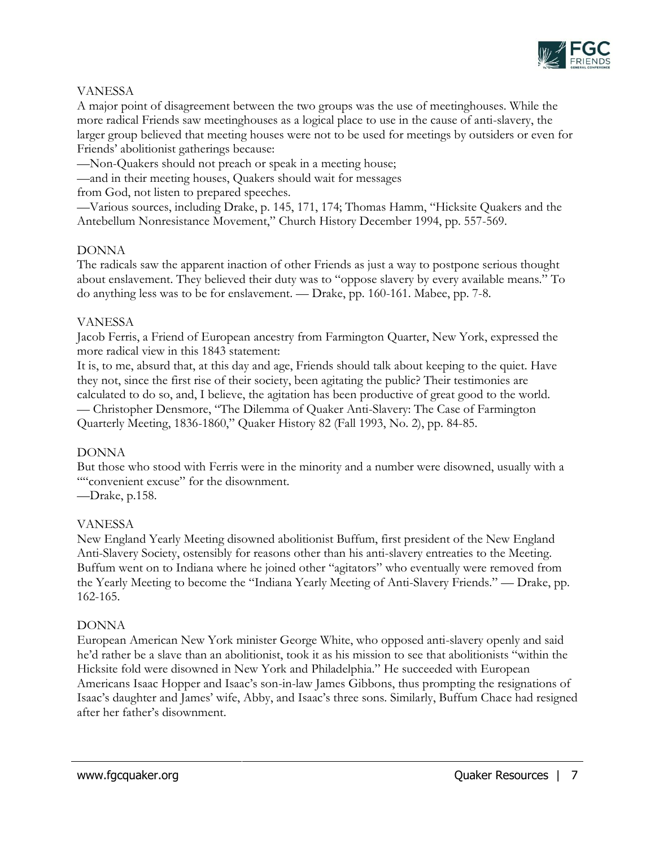

## VANESSA

A major point of disagreement between the two groups was the use of meetinghouses. While the more radical Friends saw meetinghouses as a logical place to use in the cause of anti-slavery, the larger group believed that meeting houses were not to be used for meetings by outsiders or even for Friends' abolitionist gatherings because:

—Non-Quakers should not preach or speak in a meeting house;

—and in their meeting houses, Quakers should wait for messages

from God, not listen to prepared speeches.

—Various sources, including Drake, p. 145, 171, 174; Thomas Hamm, "Hicksite Quakers and the Antebellum Nonresistance Movement," Church History December 1994, pp. 557-569.

## DONNA

The radicals saw the apparent inaction of other Friends as just a way to postpone serious thought about enslavement. They believed their duty was to "oppose slavery by every available means." To do anything less was to be for enslavement. — Drake, pp. 160-161. Mabee, pp. 7-8.

## VANESSA

Jacob Ferris, a Friend of European ancestry from Farmington Quarter, New York, expressed the more radical view in this 1843 statement:

It is, to me, absurd that, at this day and age, Friends should talk about keeping to the quiet. Have they not, since the first rise of their society, been agitating the public? Their testimonies are calculated to do so, and, I believe, the agitation has been productive of great good to the world. — Christopher Densmore, "The Dilemma of Quaker Anti-Slavery: The Case of Farmington Quarterly Meeting, 1836-1860," Quaker History 82 (Fall 1993, No. 2), pp. 84-85.

## DONNA

But those who stood with Ferris were in the minority and a number were disowned, usually with a ""convenient excuse" for the disownment.

—Drake, p.158.

## VANESSA

New England Yearly Meeting disowned abolitionist Buffum, first president of the New England Anti-Slavery Society, ostensibly for reasons other than his anti-slavery entreaties to the Meeting. Buffum went on to Indiana where he joined other "agitators" who eventually were removed from the Yearly Meeting to become the "Indiana Yearly Meeting of Anti-Slavery Friends." — Drake, pp. 162-165.

## DONNA

European American New York minister George White, who opposed anti-slavery openly and said he'd rather be a slave than an abolitionist, took it as his mission to see that abolitionists "within the Hicksite fold were disowned in New York and Philadelphia." He succeeded with European Americans Isaac Hopper and Isaac's son-in-law James Gibbons, thus prompting the resignations of Isaac's daughter and James' wife, Abby, and Isaac's three sons. Similarly, Buffum Chace had resigned after her father's disownment.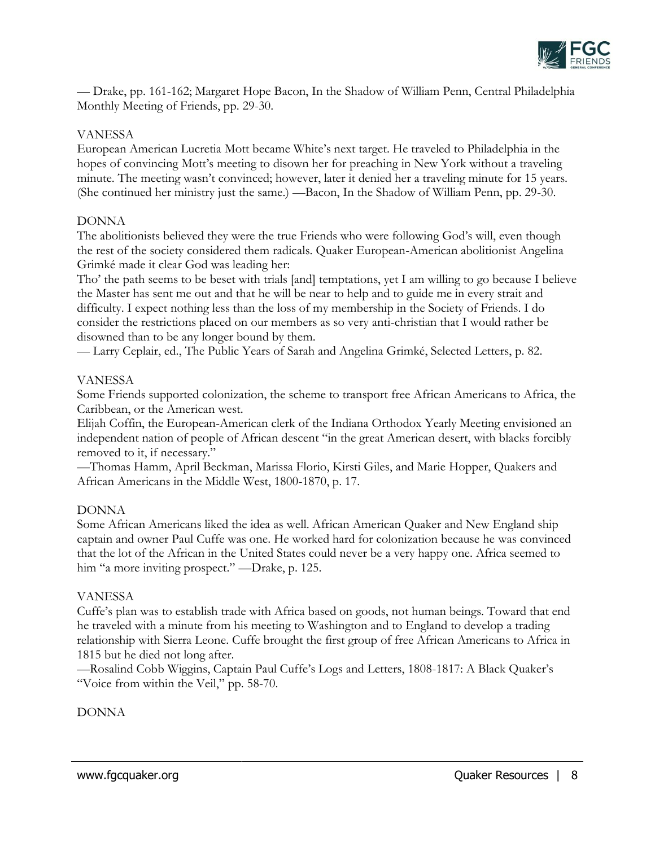

— Drake, pp. 161-162; Margaret Hope Bacon, In the Shadow of William Penn, Central Philadelphia Monthly Meeting of Friends, pp. 29-30.

## VANESSA

European American Lucretia Mott became White's next target. He traveled to Philadelphia in the hopes of convincing Mott's meeting to disown her for preaching in New York without a traveling minute. The meeting wasn't convinced; however, later it denied her a traveling minute for 15 years. (She continued her ministry just the same.) —Bacon, In the Shadow of William Penn, pp. 29-30.

## DONNA

The abolitionists believed they were the true Friends who were following God's will, even though the rest of the society considered them radicals. Quaker European-American abolitionist Angelina Grimké made it clear God was leading her:

Tho' the path seems to be beset with trials [and] temptations, yet I am willing to go because I believe the Master has sent me out and that he will be near to help and to guide me in every strait and difficulty. I expect nothing less than the loss of my membership in the Society of Friends. I do consider the restrictions placed on our members as so very anti-christian that I would rather be disowned than to be any longer bound by them.

— Larry Ceplair, ed., The Public Years of Sarah and Angelina Grimké, Selected Letters, p. 82.

#### VANESSA

Some Friends supported colonization, the scheme to transport free African Americans to Africa, the Caribbean, or the American west.

Elijah Coffin, the European-American clerk of the Indiana Orthodox Yearly Meeting envisioned an independent nation of people of African descent "in the great American desert, with blacks forcibly removed to it, if necessary."

—Thomas Hamm, April Beckman, Marissa Florio, Kirsti Giles, and Marie Hopper, Quakers and African Americans in the Middle West, 1800-1870, p. 17.

## DONNA

Some African Americans liked the idea as well. African American Quaker and New England ship captain and owner Paul Cuffe was one. He worked hard for colonization because he was convinced that the lot of the African in the United States could never be a very happy one. Africa seemed to him "a more inviting prospect." —Drake, p. 125.

## VANESSA

Cuffe's plan was to establish trade with Africa based on goods, not human beings. Toward that end he traveled with a minute from his meeting to Washington and to England to develop a trading relationship with Sierra Leone. Cuffe brought the first group of free African Americans to Africa in 1815 but he died not long after.

—Rosalind Cobb Wiggins, Captain Paul Cuffe's Logs and Letters, 1808-1817: A Black Quaker's "Voice from within the Veil," pp. 58-70.

DONNA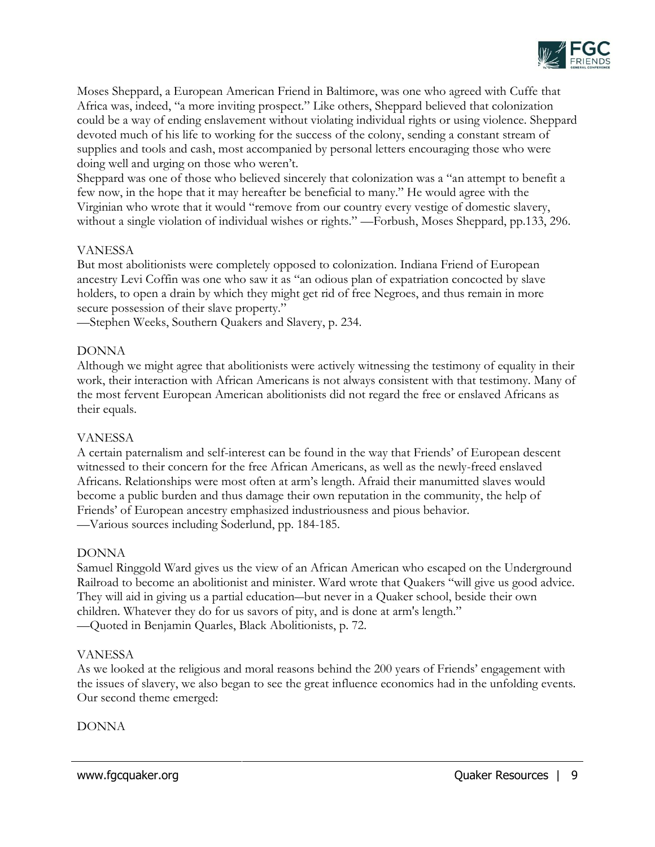

Moses Sheppard, a European American Friend in Baltimore, was one who agreed with Cuffe that Africa was, indeed, "a more inviting prospect." Like others, Sheppard believed that colonization could be a way of ending enslavement without violating individual rights or using violence. Sheppard devoted much of his life to working for the success of the colony, sending a constant stream of supplies and tools and cash, most accompanied by personal letters encouraging those who were doing well and urging on those who weren't.

Sheppard was one of those who believed sincerely that colonization was a "an attempt to benefit a few now, in the hope that it may hereafter be beneficial to many." He would agree with the Virginian who wrote that it would "remove from our country every vestige of domestic slavery, without a single violation of individual wishes or rights." —Forbush, Moses Sheppard, pp.133, 296.

## VANESSA

But most abolitionists were completely opposed to colonization. Indiana Friend of European ancestry Levi Coffin was one who saw it as "an odious plan of expatriation concocted by slave holders, to open a drain by which they might get rid of free Negroes, and thus remain in more secure possession of their slave property."

—Stephen Weeks, Southern Quakers and Slavery, p. 234.

## DONNA

Although we might agree that abolitionists were actively witnessing the testimony of equality in their work, their interaction with African Americans is not always consistent with that testimony. Many of the most fervent European American abolitionists did not regard the free or enslaved Africans as their equals.

## VANESSA

A certain paternalism and self-interest can be found in the way that Friends' of European descent witnessed to their concern for the free African Americans, as well as the newly-freed enslaved Africans. Relationships were most often at arm's length. Afraid their manumitted slaves would become a public burden and thus damage their own reputation in the community, the help of Friends' of European ancestry emphasized industriousness and pious behavior. —Various sources including Soderlund, pp. 184-185.

## DONNA

Samuel Ringgold Ward gives us the view of an African American who escaped on the Underground Railroad to become an abolitionist and minister. Ward wrote that Quakers "will give us good advice. They will aid in giving us a partial education―but never in a Quaker school, beside their own children. Whatever they do for us savors of pity, and is done at arm's length." —Quoted in Benjamin Quarles, Black Abolitionists, p. 72.

## VANESSA

As we looked at the religious and moral reasons behind the 200 years of Friends' engagement with the issues of slavery, we also began to see the great influence economics had in the unfolding events. Our second theme emerged:

## DONNA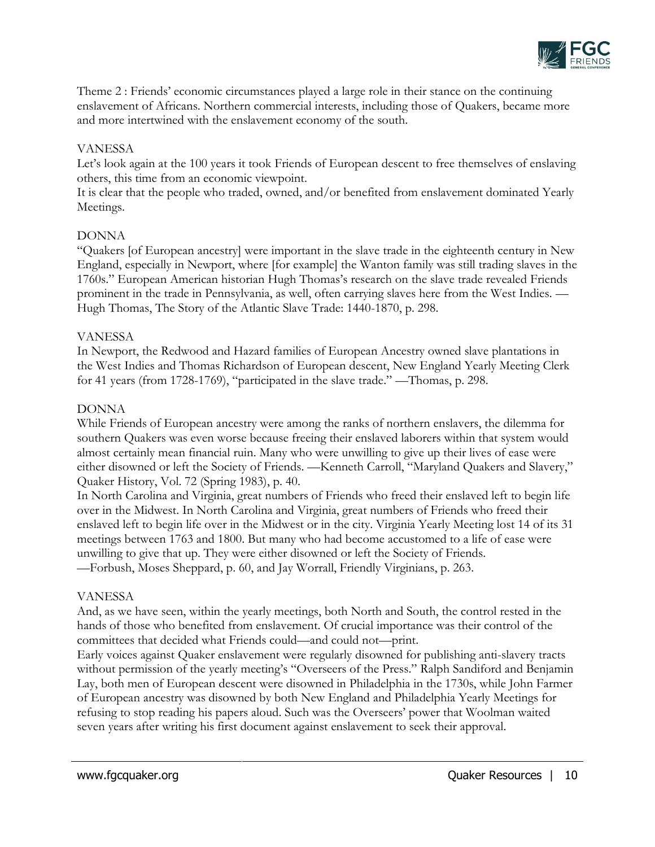

Theme 2 : Friends' economic circumstances played a large role in their stance on the continuing enslavement of Africans. Northern commercial interests, including those of Quakers, became more and more intertwined with the enslavement economy of the south.

## VANESSA

Let's look again at the 100 years it took Friends of European descent to free themselves of enslaving others, this time from an economic viewpoint.

It is clear that the people who traded, owned, and/or benefited from enslavement dominated Yearly Meetings.

## DONNA

"Quakers [of European ancestry] were important in the slave trade in the eighteenth century in New England, especially in Newport, where [for example] the Wanton family was still trading slaves in the 1760s." European American historian Hugh Thomas's research on the slave trade revealed Friends prominent in the trade in Pennsylvania, as well, often carrying slaves here from the West Indies. — Hugh Thomas, The Story of the Atlantic Slave Trade: 1440-1870, p. 298.

## VANESSA

In Newport, the Redwood and Hazard families of European Ancestry owned slave plantations in the West Indies and Thomas Richardson of European descent, New England Yearly Meeting Clerk for 41 years (from 1728-1769), "participated in the slave trade." —Thomas, p. 298.

## DONNA

While Friends of European ancestry were among the ranks of northern enslavers, the dilemma for southern Quakers was even worse because freeing their enslaved laborers within that system would almost certainly mean financial ruin. Many who were unwilling to give up their lives of ease were either disowned or left the Society of Friends. —Kenneth Carroll, "Maryland Quakers and Slavery," Quaker History, Vol. 72 (Spring 1983), p. 40.

In North Carolina and Virginia, great numbers of Friends who freed their enslaved left to begin life over in the Midwest. In North Carolina and Virginia, great numbers of Friends who freed their enslaved left to begin life over in the Midwest or in the city. Virginia Yearly Meeting lost 14 of its 31 meetings between 1763 and 1800. But many who had become accustomed to a life of ease were unwilling to give that up. They were either disowned or left the Society of Friends. —Forbush, Moses Sheppard, p. 60, and Jay Worrall, Friendly Virginians, p. 263.

## VANESSA

And, as we have seen, within the yearly meetings, both North and South, the control rested in the hands of those who benefited from enslavement. Of crucial importance was their control of the committees that decided what Friends could—and could not—print.

Early voices against Quaker enslavement were regularly disowned for publishing anti-slavery tracts without permission of the yearly meeting's "Overseers of the Press." Ralph Sandiford and Benjamin Lay, both men of European descent were disowned in Philadelphia in the 1730s, while John Farmer of European ancestry was disowned by both New England and Philadelphia Yearly Meetings for refusing to stop reading his papers aloud. Such was the Overseers' power that Woolman waited seven years after writing his first document against enslavement to seek their approval.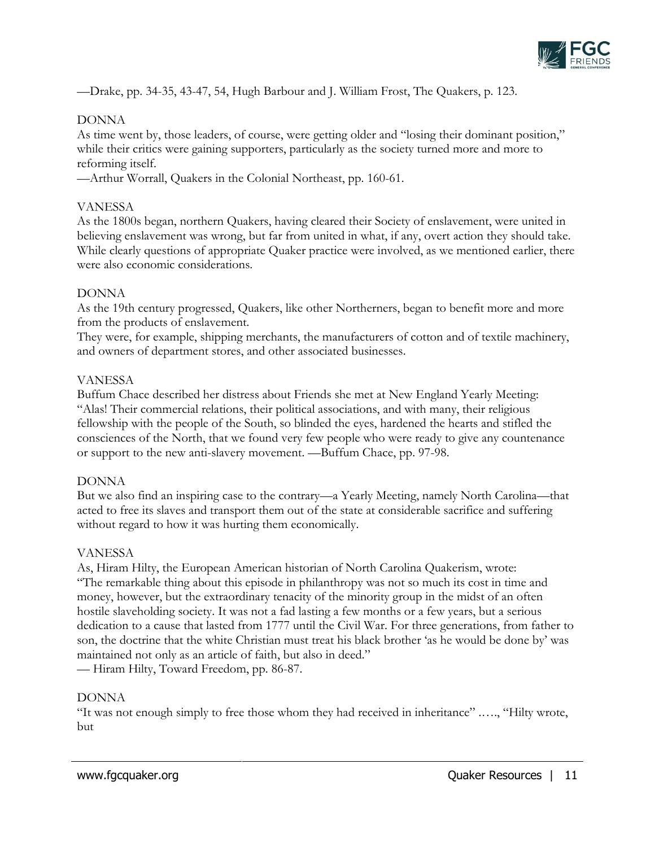

—Drake, pp. 34-35, 43-47, 54, Hugh Barbour and J. William Frost, The Quakers, p. 123.

## DONNA

As time went by, those leaders, of course, were getting older and "losing their dominant position," while their critics were gaining supporters, particularly as the society turned more and more to reforming itself.

—Arthur Worrall, Quakers in the Colonial Northeast, pp. 160-61.

## VANESSA

As the 1800s began, northern Quakers, having cleared their Society of enslavement, were united in believing enslavement was wrong, but far from united in what, if any, overt action they should take. While clearly questions of appropriate Quaker practice were involved, as we mentioned earlier, there were also economic considerations.

## DONNA

As the 19th century progressed, Quakers, like other Northerners, began to benefit more and more from the products of enslavement.

They were, for example, shipping merchants, the manufacturers of cotton and of textile machinery, and owners of department stores, and other associated businesses.

## VANESSA

Buffum Chace described her distress about Friends she met at New England Yearly Meeting: "Alas! Their commercial relations, their political associations, and with many, their religious fellowship with the people of the South, so blinded the eyes, hardened the hearts and stifled the consciences of the North, that we found very few people who were ready to give any countenance or support to the new anti-slavery movement. —Buffum Chace, pp. 97-98.

## DONNA

But we also find an inspiring case to the contrary—a Yearly Meeting, namely North Carolina—that acted to free its slaves and transport them out of the state at considerable sacrifice and suffering without regard to how it was hurting them economically.

## VANESSA

As, Hiram Hilty, the European American historian of North Carolina Quakerism, wrote: "The remarkable thing about this episode in philanthropy was not so much its cost in time and money, however, but the extraordinary tenacity of the minority group in the midst of an often hostile slaveholding society. It was not a fad lasting a few months or a few years, but a serious dedication to a cause that lasted from 1777 until the Civil War. For three generations, from father to son, the doctrine that the white Christian must treat his black brother 'as he would be done by' was maintained not only as an article of faith, but also in deed."

— Hiram Hilty, Toward Freedom, pp. 86-87.

## DONNA

"It was not enough simply to free those whom they had received in inheritance" .…., "Hilty wrote, but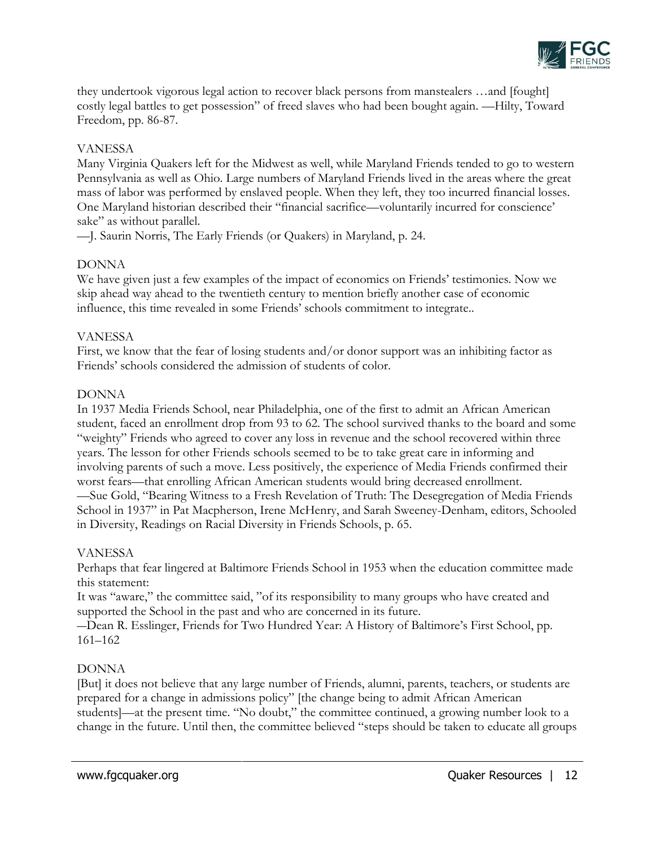

they undertook vigorous legal action to recover black persons from manstealers …and [fought] costly legal battles to get possession" of freed slaves who had been bought again. —Hilty, Toward Freedom, pp. 86-87.

## VANESSA

Many Virginia Quakers left for the Midwest as well, while Maryland Friends tended to go to western Pennsylvania as well as Ohio. Large numbers of Maryland Friends lived in the areas where the great mass of labor was performed by enslaved people. When they left, they too incurred financial losses. One Maryland historian described their "financial sacrifice—voluntarily incurred for conscience' sake" as without parallel.

—J. Saurin Norris, The Early Friends (or Quakers) in Maryland, p. 24.

# DONNA

We have given just a few examples of the impact of economics on Friends' testimonies. Now we skip ahead way ahead to the twentieth century to mention briefly another case of economic influence, this time revealed in some Friends' schools commitment to integrate..

## VANESSA

First, we know that the fear of losing students and/or donor support was an inhibiting factor as Friends' schools considered the admission of students of color.

## DONNA

In 1937 Media Friends School, near Philadelphia, one of the first to admit an African American student, faced an enrollment drop from 93 to 62. The school survived thanks to the board and some "weighty" Friends who agreed to cover any loss in revenue and the school recovered within three years. The lesson for other Friends schools seemed to be to take great care in informing and involving parents of such a move. Less positively, the experience of Media Friends confirmed their worst fears—that enrolling African American students would bring decreased enrollment. —Sue Gold, "Bearing Witness to a Fresh Revelation of Truth: The Desegregation of Media Friends School in 1937" in Pat Macpherson, Irene McHenry, and Sarah Sweeney-Denham, editors, Schooled in Diversity, Readings on Racial Diversity in Friends Schools, p. 65.

## VANESSA

Perhaps that fear lingered at Baltimore Friends School in 1953 when the education committee made this statement:

It was "aware," the committee said, "of its responsibility to many groups who have created and supported the School in the past and who are concerned in its future.

―Dean R. Esslinger, Friends for Two Hundred Year: A History of Baltimore's First School, pp. 161–162

# DONNA

[But] it does not believe that any large number of Friends, alumni, parents, teachers, or students are prepared for a change in admissions policy" [the change being to admit African American students]—at the present time. "No doubt," the committee continued, a growing number look to a change in the future. Until then, the committee believed "steps should be taken to educate all groups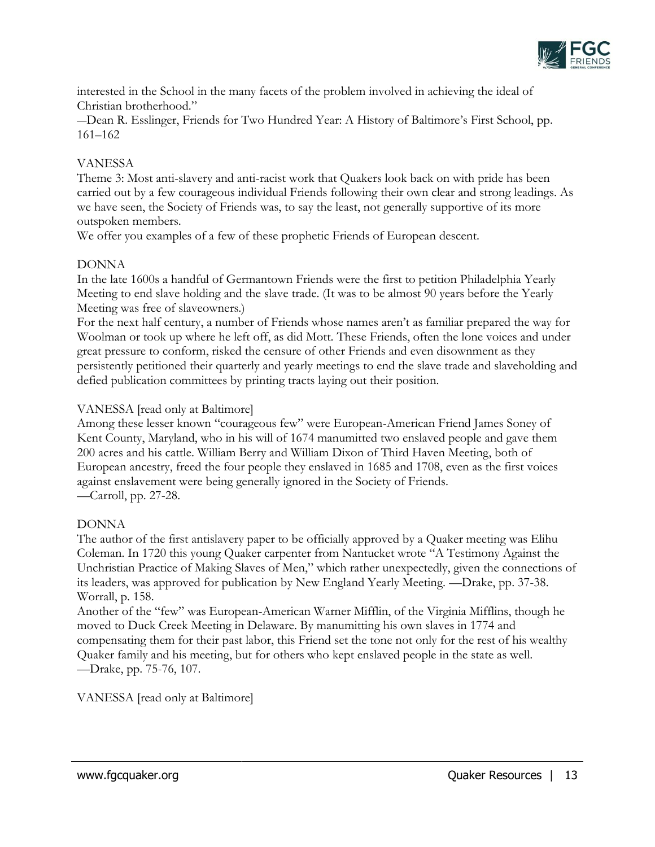

interested in the School in the many facets of the problem involved in achieving the ideal of Christian brotherhood."

―Dean R. Esslinger, Friends for Two Hundred Year: A History of Baltimore's First School, pp. 161–162

## VANESSA

Theme 3: Most anti-slavery and anti-racist work that Quakers look back on with pride has been carried out by a few courageous individual Friends following their own clear and strong leadings. As we have seen, the Society of Friends was, to say the least, not generally supportive of its more outspoken members.

We offer you examples of a few of these prophetic Friends of European descent.

# DONNA

In the late 1600s a handful of Germantown Friends were the first to petition Philadelphia Yearly Meeting to end slave holding and the slave trade. (It was to be almost 90 years before the Yearly Meeting was free of slaveowners.)

For the next half century, a number of Friends whose names aren't as familiar prepared the way for Woolman or took up where he left off, as did Mott. These Friends, often the lone voices and under great pressure to conform, risked the censure of other Friends and even disownment as they persistently petitioned their quarterly and yearly meetings to end the slave trade and slaveholding and defied publication committees by printing tracts laying out their position.

## VANESSA [read only at Baltimore]

Among these lesser known "courageous few" were European-American Friend James Soney of Kent County, Maryland, who in his will of 1674 manumitted two enslaved people and gave them 200 acres and his cattle. William Berry and William Dixon of Third Haven Meeting, both of European ancestry, freed the four people they enslaved in 1685 and 1708, even as the first voices against enslavement were being generally ignored in the Society of Friends. —Carroll, pp. 27-28.

## DONNA

The author of the first antislavery paper to be officially approved by a Quaker meeting was Elihu Coleman. In 1720 this young Quaker carpenter from Nantucket wrote "A Testimony Against the Unchristian Practice of Making Slaves of Men," which rather unexpectedly, given the connections of its leaders, was approved for publication by New England Yearly Meeting. —Drake, pp. 37-38. Worrall, p. 158.

Another of the "few" was European-American Warner Mifflin, of the Virginia Mifflins, though he moved to Duck Creek Meeting in Delaware. By manumitting his own slaves in 1774 and compensating them for their past labor, this Friend set the tone not only for the rest of his wealthy Quaker family and his meeting, but for others who kept enslaved people in the state as well. —Drake, pp. 75-76, 107.

VANESSA [read only at Baltimore]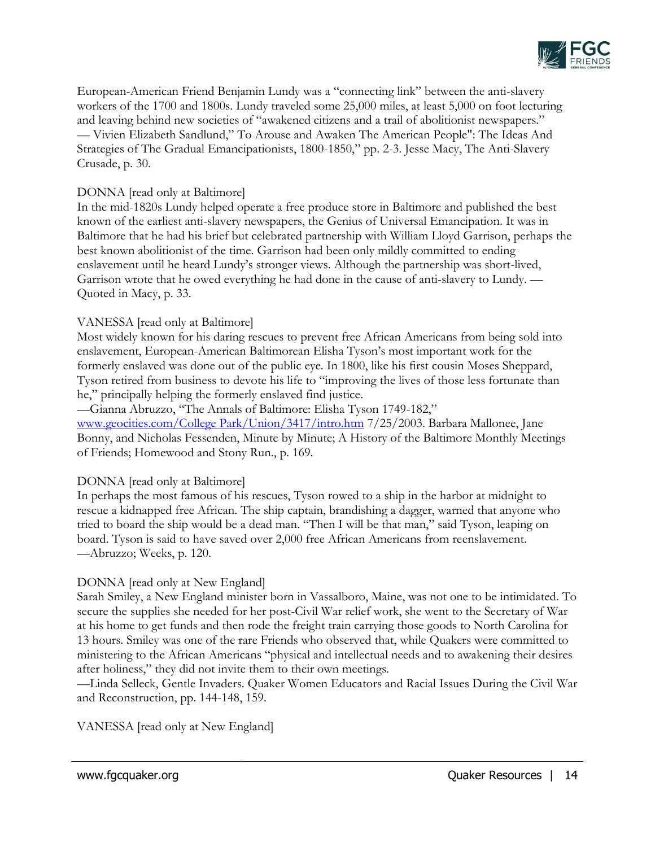

European-American Friend Benjamin Lundy was a "connecting link" between the anti-slavery workers of the 1700 and 1800s. Lundy traveled some 25,000 miles, at least 5,000 on foot lecturing and leaving behind new societies of "awakened citizens and a trail of abolitionist newspapers." — Vivien Elizabeth Sandlund," To Arouse and Awaken The American People": The Ideas And Strategies of The Gradual Emancipationists, 1800-1850," pp. 2-3. Jesse Macy, The Anti-Slavery Crusade, p. 30.

## DONNA [read only at Baltimore]

In the mid-1820s Lundy helped operate a free produce store in Baltimore and published the best known of the earliest anti-slavery newspapers, the Genius of Universal Emancipation. It was in Baltimore that he had his brief but celebrated partnership with William Lloyd Garrison, perhaps the best known abolitionist of the time. Garrison had been only mildly committed to ending enslavement until he heard Lundy's stronger views. Although the partnership was short-lived, Garrison wrote that he owed everything he had done in the cause of anti-slavery to Lundy. — Quoted in Macy, p. 33.

# VANESSA [read only at Baltimore]

Most widely known for his daring rescues to prevent free African Americans from being sold into enslavement, European-American Baltimorean Elisha Tyson's most important work for the formerly enslaved was done out of the public eye. In 1800, like his first cousin Moses Sheppard, Tyson retired from business to devote his life to "improving the lives of those less fortunate than he," principally helping the formerly enslaved find justice.

—Gianna Abruzzo, "The Annals of Baltimore: Elisha Tyson 1749-182," [www.geocities.com/College Park/Union/3417/intro.htm](http://www.geocities.com/College%20Park/Union/3417/intro.htm) 7/25/2003. Barbara Mallonee, Jane Bonny, and Nicholas Fessenden, Minute by Minute; A History of the Baltimore Monthly Meetings of Friends; Homewood and Stony Run., p. 169.

## DONNA [read only at Baltimore]

In perhaps the most famous of his rescues, Tyson rowed to a ship in the harbor at midnight to rescue a kidnapped free African. The ship captain, brandishing a dagger, warned that anyone who tried to board the ship would be a dead man. "Then I will be that man," said Tyson, leaping on board. Tyson is said to have saved over 2,000 free African Americans from reenslavement. —Abruzzo; Weeks, p. 120.

# DONNA [read only at New England]

Sarah Smiley, a New England minister born in Vassalboro, Maine, was not one to be intimidated. To secure the supplies she needed for her post-Civil War relief work, she went to the Secretary of War at his home to get funds and then rode the freight train carrying those goods to North Carolina for 13 hours. Smiley was one of the rare Friends who observed that, while Quakers were committed to ministering to the African Americans "physical and intellectual needs and to awakening their desires after holiness," they did not invite them to their own meetings.

—Linda Selleck, Gentle Invaders. Quaker Women Educators and Racial Issues During the Civil War and Reconstruction, pp. 144-148, 159.

VANESSA [read only at New England]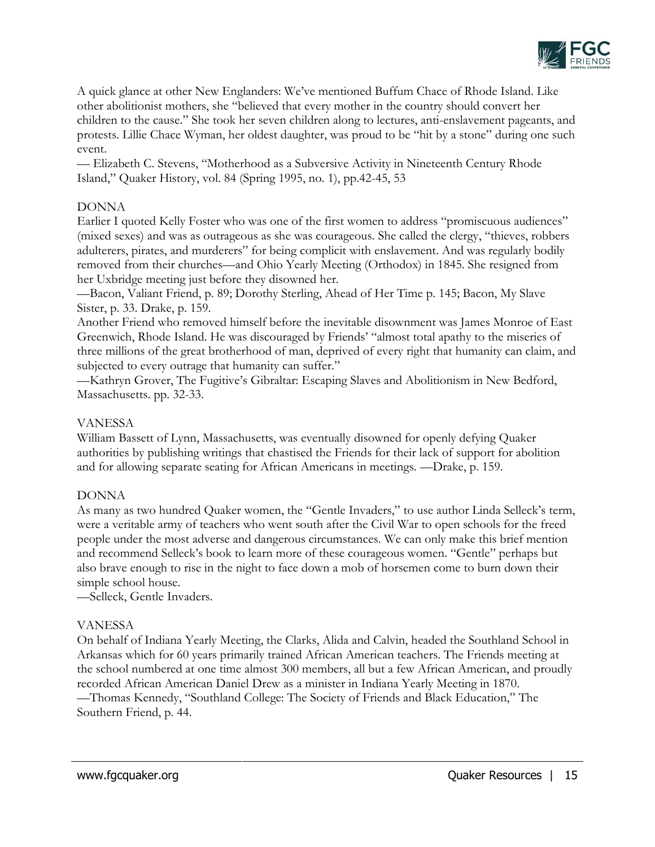

A quick glance at other New Englanders: We've mentioned Buffum Chace of Rhode Island. Like other abolitionist mothers, she "believed that every mother in the country should convert her children to the cause." She took her seven children along to lectures, anti-enslavement pageants, and protests. Lillie Chace Wyman, her oldest daughter, was proud to be "hit by a stone" during one such event.

— Elizabeth C. Stevens, "Motherhood as a Subversive Activity in Nineteenth Century Rhode Island," Quaker History, vol. 84 (Spring 1995, no. 1), pp.42-45, 53

## DONNA

Earlier I quoted Kelly Foster who was one of the first women to address "promiscuous audiences" (mixed sexes) and was as outrageous as she was courageous. She called the clergy, "thieves, robbers adulterers, pirates, and murderers" for being complicit with enslavement. And was regularly bodily removed from their churches—and Ohio Yearly Meeting (Orthodox) in 1845. She resigned from her Uxbridge meeting just before they disowned her.

—Bacon, Valiant Friend, p. 89; Dorothy Sterling, Ahead of Her Time p. 145; Bacon, My Slave Sister, p. 33. Drake, p. 159.

Another Friend who removed himself before the inevitable disownment was James Monroe of East Greenwich, Rhode Island. He was discouraged by Friends' "almost total apathy to the miseries of three millions of the great brotherhood of man, deprived of every right that humanity can claim, and subjected to every outrage that humanity can suffer."

—Kathryn Grover, The Fugitive's Gibraltar: Escaping Slaves and Abolitionism in New Bedford, Massachusetts. pp. 32-33.

## VANESSA

William Bassett of Lynn, Massachusetts, was eventually disowned for openly defying Quaker authorities by publishing writings that chastised the Friends for their lack of support for abolition and for allowing separate seating for African Americans in meetings. —Drake, p. 159.

## DONNA

As many as two hundred Quaker women, the "Gentle Invaders," to use author Linda Selleck's term, were a veritable army of teachers who went south after the Civil War to open schools for the freed people under the most adverse and dangerous circumstances. We can only make this brief mention and recommend Selleck's book to learn more of these courageous women. "Gentle" perhaps but also brave enough to rise in the night to face down a mob of horsemen come to burn down their simple school house.

—Selleck, Gentle Invaders.

## VANESSA

On behalf of Indiana Yearly Meeting, the Clarks, Alida and Calvin, headed the Southland School in Arkansas which for 60 years primarily trained African American teachers. The Friends meeting at the school numbered at one time almost 300 members, all but a few African American, and proudly recorded African American Daniel Drew as a minister in Indiana Yearly Meeting in 1870. —Thomas Kennedy, "Southland College: The Society of Friends and Black Education," The Southern Friend, p. 44.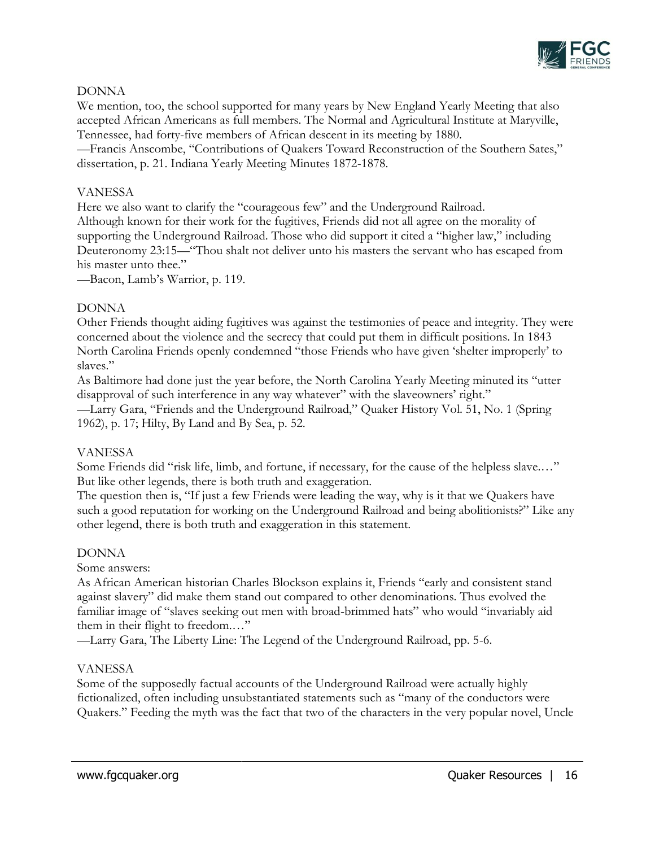

# DONNA

We mention, too, the school supported for many years by New England Yearly Meeting that also accepted African Americans as full members. The Normal and Agricultural Institute at Maryville, Tennessee, had forty-five members of African descent in its meeting by 1880.

—Francis Anscombe, "Contributions of Quakers Toward Reconstruction of the Southern Sates," dissertation, p. 21. Indiana Yearly Meeting Minutes 1872-1878.

## VANESSA

Here we also want to clarify the "courageous few" and the Underground Railroad. Although known for their work for the fugitives, Friends did not all agree on the morality of supporting the Underground Railroad. Those who did support it cited a "higher law," including Deuteronomy 23:15—"Thou shalt not deliver unto his masters the servant who has escaped from his master unto thee."

—Bacon, Lamb's Warrior, p. 119.

## DONNA

Other Friends thought aiding fugitives was against the testimonies of peace and integrity. They were concerned about the violence and the secrecy that could put them in difficult positions. In 1843 North Carolina Friends openly condemned "those Friends who have given 'shelter improperly' to slaves."

As Baltimore had done just the year before, the North Carolina Yearly Meeting minuted its "utter disapproval of such interference in any way whatever" with the slaveowners' right."

—Larry Gara, "Friends and the Underground Railroad," Quaker History Vol. 51, No. 1 (Spring 1962), p. 17; Hilty, By Land and By Sea, p. 52.

## VANESSA

Some Friends did "risk life, limb, and fortune, if necessary, for the cause of the helpless slave.…" But like other legends, there is both truth and exaggeration.

The question then is, "If just a few Friends were leading the way, why is it that we Quakers have such a good reputation for working on the Underground Railroad and being abolitionists?" Like any other legend, there is both truth and exaggeration in this statement.

## DONNA

Some answers:

As African American historian Charles Blockson explains it, Friends "early and consistent stand against slavery" did make them stand out compared to other denominations. Thus evolved the familiar image of "slaves seeking out men with broad-brimmed hats" who would "invariably aid them in their flight to freedom.…"

—Larry Gara, The Liberty Line: The Legend of the Underground Railroad, pp. 5-6.

# VANESSA

Some of the supposedly factual accounts of the Underground Railroad were actually highly fictionalized, often including unsubstantiated statements such as "many of the conductors were Quakers." Feeding the myth was the fact that two of the characters in the very popular novel, Uncle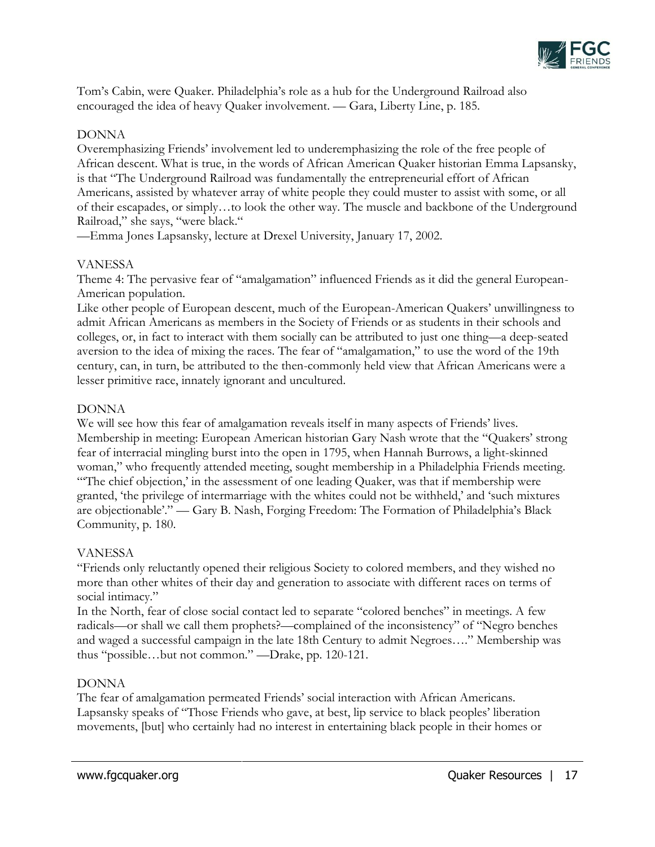

Tom's Cabin, were Quaker. Philadelphia's role as a hub for the Underground Railroad also encouraged the idea of heavy Quaker involvement. — Gara, Liberty Line, p. 185.

## DONNA

Overemphasizing Friends' involvement led to underemphasizing the role of the free people of African descent. What is true, in the words of African American Quaker historian Emma Lapsansky, is that "The Underground Railroad was fundamentally the entrepreneurial effort of African Americans, assisted by whatever array of white people they could muster to assist with some, or all of their escapades, or simply…to look the other way. The muscle and backbone of the Underground Railroad," she says, "were black."

—Emma Jones Lapsansky, lecture at Drexel University, January 17, 2002.

# VANESSA

Theme 4: The pervasive fear of "amalgamation" influenced Friends as it did the general European-American population.

Like other people of European descent, much of the European-American Quakers' unwillingness to admit African Americans as members in the Society of Friends or as students in their schools and colleges, or, in fact to interact with them socially can be attributed to just one thing—a deep-seated aversion to the idea of mixing the races. The fear of "amalgamation," to use the word of the 19th century, can, in turn, be attributed to the then-commonly held view that African Americans were a lesser primitive race, innately ignorant and uncultured.

## DONNA

We will see how this fear of amalgamation reveals itself in many aspects of Friends' lives. Membership in meeting: European American historian Gary Nash wrote that the "Quakers' strong fear of interracial mingling burst into the open in 1795, when Hannah Burrows, a light-skinned woman," who frequently attended meeting, sought membership in a Philadelphia Friends meeting. "The chief objection,' in the assessment of one leading Quaker, was that if membership were granted, 'the privilege of intermarriage with the whites could not be withheld,' and 'such mixtures are objectionable'." — Gary B. Nash, Forging Freedom: The Formation of Philadelphia's Black Community, p. 180.

## VANESSA

"Friends only reluctantly opened their religious Society to colored members, and they wished no more than other whites of their day and generation to associate with different races on terms of social intimacy."

In the North, fear of close social contact led to separate "colored benches" in meetings. A few radicals—or shall we call them prophets?—complained of the inconsistency" of "Negro benches and waged a successful campaign in the late 18th Century to admit Negroes…." Membership was thus "possible…but not common." —Drake, pp. 120-121.

# DONNA

The fear of amalgamation permeated Friends' social interaction with African Americans. Lapsansky speaks of "Those Friends who gave, at best, lip service to black peoples' liberation movements, [but] who certainly had no interest in entertaining black people in their homes or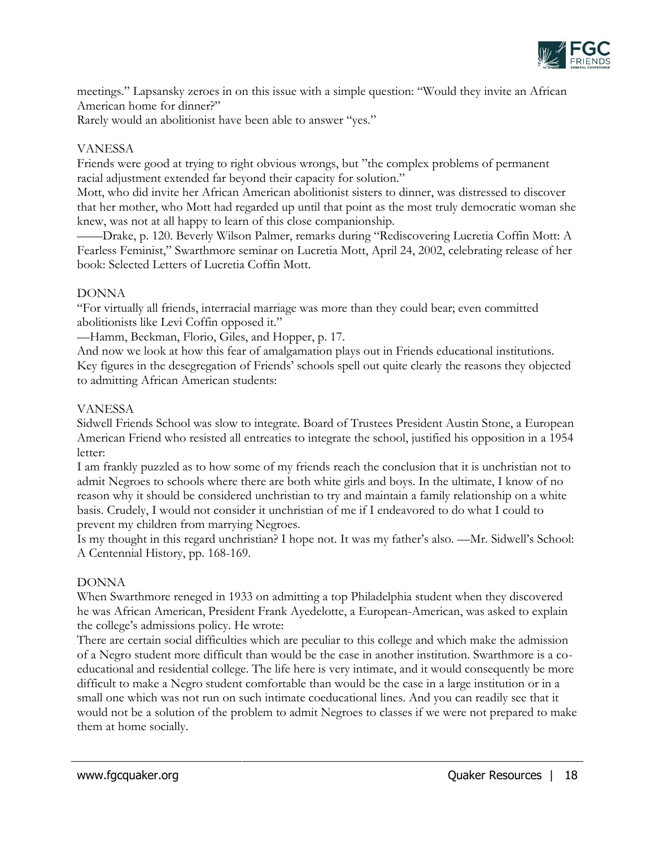

meetings." Lapsansky zeroes in on this issue with a simple question: "Would they invite an African American home for dinner?"

Rarely would an abolitionist have been able to answer "yes."

# VANESSA

Friends were good at trying to right obvious wrongs, but "the complex problems of permanent racial adjustment extended far beyond their capacity for solution."

Mott, who did invite her African American abolitionist sisters to dinner, was distressed to discover that her mother, who Mott had regarded up until that point as the most truly democratic woman she knew, was not at all happy to learn of this close companionship.

——Drake, p. 120. Beverly Wilson Palmer, remarks during "Rediscovering Lucretia Coffin Mott: A Fearless Feminist," Swarthmore seminar on Lucretia Mott, April 24, 2002, celebrating release of her book: Selected Letters of Lucretia Coffin Mott.

# DONNA

"For virtually all friends, interracial marriage was more than they could bear; even committed abolitionists like Levi Coffin opposed it."

—Hamm, Beckman, Florio, Giles, and Hopper, p. 17.

And now we look at how this fear of amalgamation plays out in Friends educational institutions. Key figures in the desegregation of Friends' schools spell out quite clearly the reasons they objected to admitting African American students:

## VANESSA

Sidwell Friends School was slow to integrate. Board of Trustees President Austin Stone, a European American Friend who resisted all entreaties to integrate the school, justified his opposition in a 1954 letter:

I am frankly puzzled as to how some of my friends reach the conclusion that it is unchristian not to admit Negroes to schools where there are both white girls and boys. In the ultimate, I know of no reason why it should be considered unchristian to try and maintain a family relationship on a white basis. Crudely, I would not consider it unchristian of me if I endeavored to do what I could to prevent my children from marrying Negroes.

Is my thought in this regard unchristian? I hope not. It was my father's also. —Mr. Sidwell's School: A Centennial History, pp. 168-169.

# DONNA

When Swarthmore reneged in 1933 on admitting a top Philadelphia student when they discovered he was African American, President Frank Ayedelotte, a European-American, was asked to explain the college's admissions policy. He wrote:

There are certain social difficulties which are peculiar to this college and which make the admission of a Negro student more difficult than would be the case in another institution. Swarthmore is a coeducational and residential college. The life here is very intimate, and it would consequently be more difficult to make a Negro student comfortable than would be the case in a large institution or in a small one which was not run on such intimate coeducational lines. And you can readily see that it would not be a solution of the problem to admit Negroes to classes if we were not prepared to make them at home socially.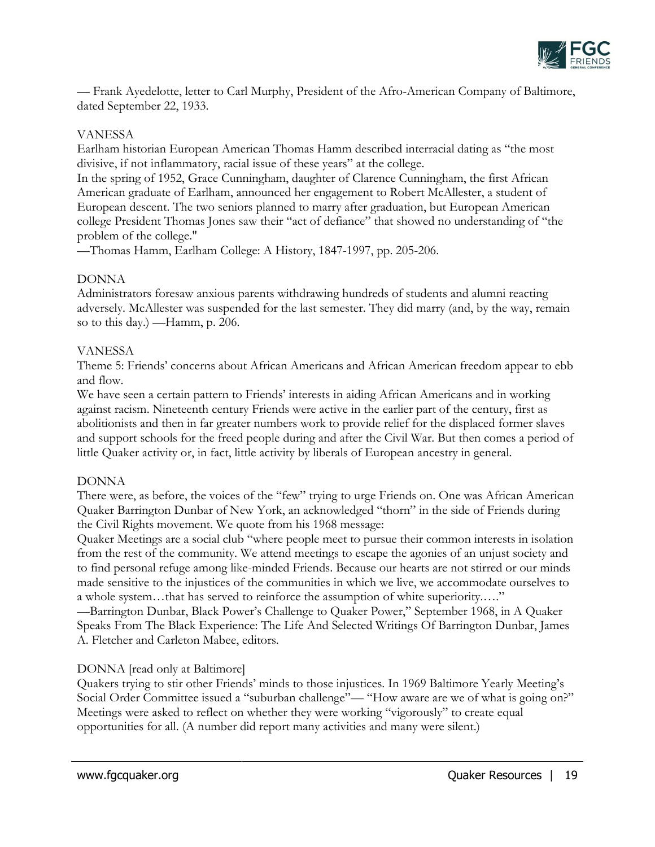

— Frank Ayedelotte, letter to Carl Murphy, President of the Afro-American Company of Baltimore, dated September 22, 1933.

## VANESSA

Earlham historian European American Thomas Hamm described interracial dating as "the most divisive, if not inflammatory, racial issue of these years" at the college.

In the spring of 1952, Grace Cunningham, daughter of Clarence Cunningham, the first African American graduate of Earlham, announced her engagement to Robert McAllester, a student of European descent. The two seniors planned to marry after graduation, but European American college President Thomas Jones saw their "act of defiance" that showed no understanding of "the problem of the college."

—Thomas Hamm, Earlham College: A History, 1847-1997, pp. 205-206.

## DONNA

Administrators foresaw anxious parents withdrawing hundreds of students and alumni reacting adversely. McAllester was suspended for the last semester. They did marry (and, by the way, remain so to this day.) —Hamm, p. 206.

## VANESSA

Theme 5: Friends' concerns about African Americans and African American freedom appear to ebb and flow.

We have seen a certain pattern to Friends' interests in aiding African Americans and in working against racism. Nineteenth century Friends were active in the earlier part of the century, first as abolitionists and then in far greater numbers work to provide relief for the displaced former slaves and support schools for the freed people during and after the Civil War. But then comes a period of little Quaker activity or, in fact, little activity by liberals of European ancestry in general.

## DONNA

There were, as before, the voices of the "few" trying to urge Friends on. One was African American Quaker Barrington Dunbar of New York, an acknowledged "thorn" in the side of Friends during the Civil Rights movement. We quote from his 1968 message:

Quaker Meetings are a social club "where people meet to pursue their common interests in isolation from the rest of the community. We attend meetings to escape the agonies of an unjust society and to find personal refuge among like-minded Friends. Because our hearts are not stirred or our minds made sensitive to the injustices of the communities in which we live, we accommodate ourselves to a whole system…that has served to reinforce the assumption of white superiority.…."

—Barrington Dunbar, Black Power's Challenge to Quaker Power," September 1968, in A Quaker Speaks From The Black Experience: The Life And Selected Writings Of Barrington Dunbar, James A. Fletcher and Carleton Mabee, editors.

## DONNA [read only at Baltimore]

Quakers trying to stir other Friends' minds to those injustices. In 1969 Baltimore Yearly Meeting's Social Order Committee issued a "suburban challenge"— "How aware are we of what is going on?" Meetings were asked to reflect on whether they were working "vigorously" to create equal opportunities for all. (A number did report many activities and many were silent.)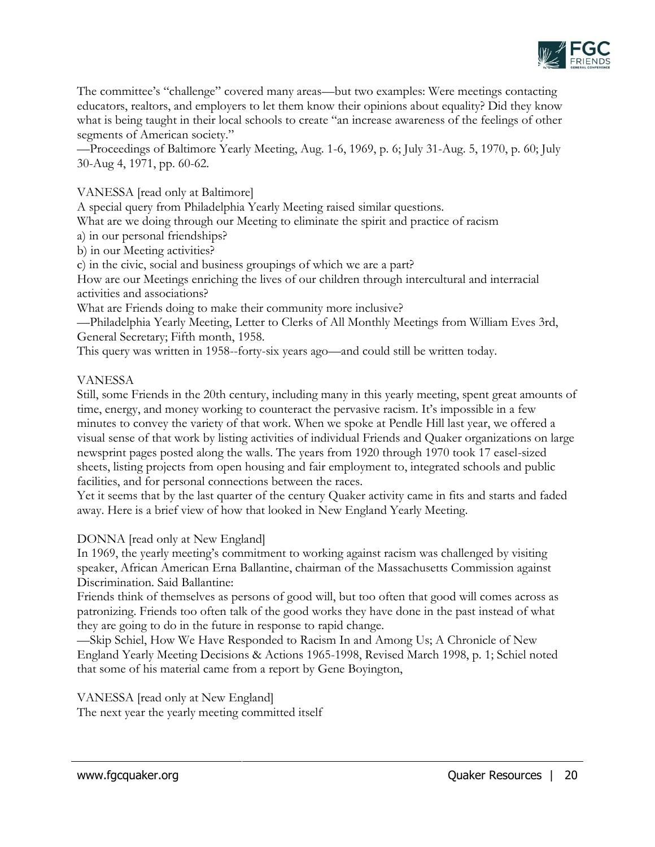

The committee's "challenge" covered many areas—but two examples: Were meetings contacting educators, realtors, and employers to let them know their opinions about equality? Did they know what is being taught in their local schools to create "an increase awareness of the feelings of other segments of American society."

—Proceedings of Baltimore Yearly Meeting, Aug. 1-6, 1969, p. 6; July 31-Aug. 5, 1970, p. 60; July 30-Aug 4, 1971, pp. 60-62.

VANESSA [read only at Baltimore]

A special query from Philadelphia Yearly Meeting raised similar questions.

What are we doing through our Meeting to eliminate the spirit and practice of racism

a) in our personal friendships?

b) in our Meeting activities?

c) in the civic, social and business groupings of which we are a part?

How are our Meetings enriching the lives of our children through intercultural and interracial activities and associations?

What are Friends doing to make their community more inclusive?

—Philadelphia Yearly Meeting, Letter to Clerks of All Monthly Meetings from William Eves 3rd, General Secretary; Fifth month, 1958.

This query was written in 1958--forty-six years ago—and could still be written today.

## VANESSA

Still, some Friends in the 20th century, including many in this yearly meeting, spent great amounts of time, energy, and money working to counteract the pervasive racism. It's impossible in a few minutes to convey the variety of that work. When we spoke at Pendle Hill last year, we offered a visual sense of that work by listing activities of individual Friends and Quaker organizations on large newsprint pages posted along the walls. The years from 1920 through 1970 took 17 easel-sized sheets, listing projects from open housing and fair employment to, integrated schools and public facilities, and for personal connections between the races.

Yet it seems that by the last quarter of the century Quaker activity came in fits and starts and faded away. Here is a brief view of how that looked in New England Yearly Meeting.

## DONNA [read only at New England]

In 1969, the yearly meeting's commitment to working against racism was challenged by visiting speaker, African American Erna Ballantine, chairman of the Massachusetts Commission against Discrimination. Said Ballantine:

Friends think of themselves as persons of good will, but too often that good will comes across as patronizing. Friends too often talk of the good works they have done in the past instead of what they are going to do in the future in response to rapid change.

—Skip Schiel, How We Have Responded to Racism In and Among Us; A Chronicle of New England Yearly Meeting Decisions & Actions 1965-1998, Revised March 1998, p. 1; Schiel noted that some of his material came from a report by Gene Boyington,

#### VANESSA [read only at New England] The next year the yearly meeting committed itself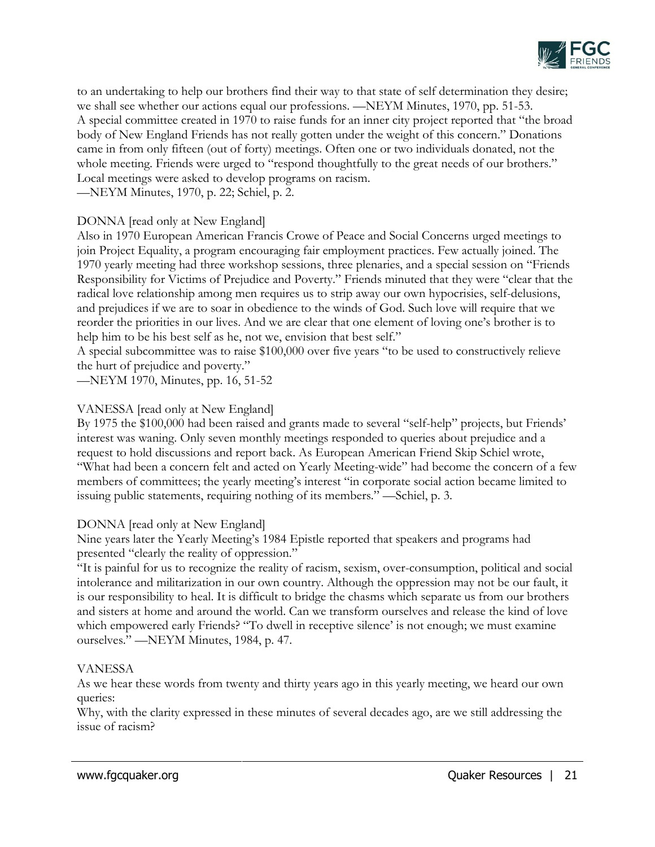

to an undertaking to help our brothers find their way to that state of self determination they desire; we shall see whether our actions equal our professions. —NEYM Minutes, 1970, pp. 51-53. A special committee created in 1970 to raise funds for an inner city project reported that "the broad body of New England Friends has not really gotten under the weight of this concern." Donations came in from only fifteen (out of forty) meetings. Often one or two individuals donated, not the whole meeting. Friends were urged to "respond thoughtfully to the great needs of our brothers." Local meetings were asked to develop programs on racism. —NEYM Minutes, 1970, p. 22; Schiel, p. 2.

# DONNA [read only at New England]

Also in 1970 European American Francis Crowe of Peace and Social Concerns urged meetings to join Project Equality, a program encouraging fair employment practices. Few actually joined. The 1970 yearly meeting had three workshop sessions, three plenaries, and a special session on "Friends Responsibility for Victims of Prejudice and Poverty." Friends minuted that they were "clear that the radical love relationship among men requires us to strip away our own hypocrisies, self-delusions, and prejudices if we are to soar in obedience to the winds of God. Such love will require that we reorder the priorities in our lives. And we are clear that one element of loving one's brother is to help him to be his best self as he, not we, envision that best self."

A special subcommittee was to raise \$100,000 over five years "to be used to constructively relieve the hurt of prejudice and poverty."

—NEYM 1970, Minutes, pp. 16, 51-52

# VANESSA [read only at New England]

By 1975 the \$100,000 had been raised and grants made to several "self-help" projects, but Friends' interest was waning. Only seven monthly meetings responded to queries about prejudice and a request to hold discussions and report back. As European American Friend Skip Schiel wrote, "What had been a concern felt and acted on Yearly Meeting-wide" had become the concern of a few members of committees; the yearly meeting's interest "in corporate social action became limited to issuing public statements, requiring nothing of its members." —Schiel, p. 3.

# DONNA [read only at New England]

Nine years later the Yearly Meeting's 1984 Epistle reported that speakers and programs had presented "clearly the reality of oppression."

"It is painful for us to recognize the reality of racism, sexism, over-consumption, political and social intolerance and militarization in our own country. Although the oppression may not be our fault, it is our responsibility to heal. It is difficult to bridge the chasms which separate us from our brothers and sisters at home and around the world. Can we transform ourselves and release the kind of love which empowered early Friends? "To dwell in receptive silence' is not enough; we must examine ourselves." —NEYM Minutes, 1984, p. 47.

# VANESSA

As we hear these words from twenty and thirty years ago in this yearly meeting, we heard our own queries:

Why, with the clarity expressed in these minutes of several decades ago, are we still addressing the issue of racism?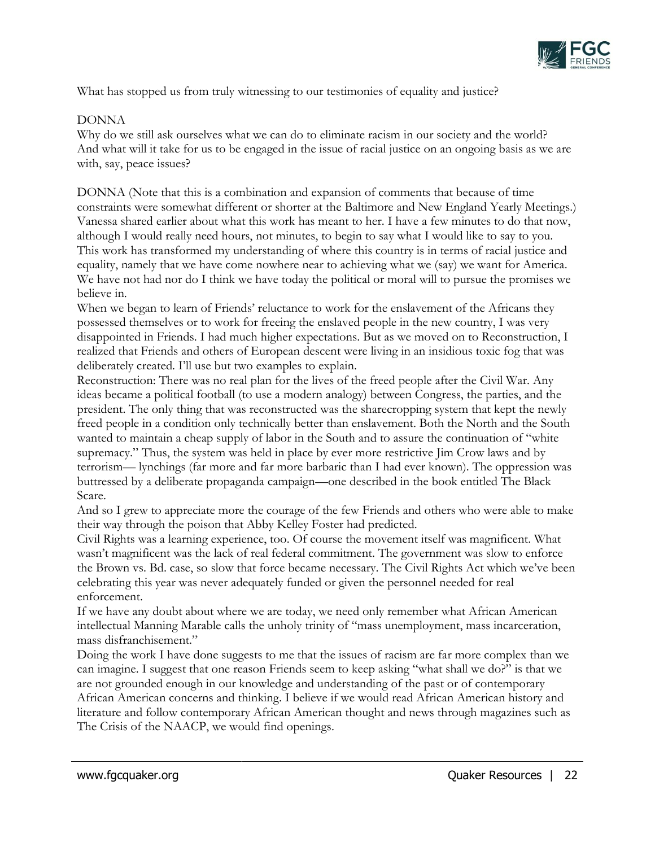

What has stopped us from truly witnessing to our testimonies of equality and justice?

## DONNA

Why do we still ask ourselves what we can do to eliminate racism in our society and the world? And what will it take for us to be engaged in the issue of racial justice on an ongoing basis as we are with, say, peace issues?

DONNA (Note that this is a combination and expansion of comments that because of time constraints were somewhat different or shorter at the Baltimore and New England Yearly Meetings.) Vanessa shared earlier about what this work has meant to her. I have a few minutes to do that now, although I would really need hours, not minutes, to begin to say what I would like to say to you. This work has transformed my understanding of where this country is in terms of racial justice and equality, namely that we have come nowhere near to achieving what we (say) we want for America. We have not had nor do I think we have today the political or moral will to pursue the promises we believe in.

When we began to learn of Friends' reluctance to work for the enslavement of the Africans they possessed themselves or to work for freeing the enslaved people in the new country, I was very disappointed in Friends. I had much higher expectations. But as we moved on to Reconstruction, I realized that Friends and others of European descent were living in an insidious toxic fog that was deliberately created. I'll use but two examples to explain.

Reconstruction: There was no real plan for the lives of the freed people after the Civil War. Any ideas became a political football (to use a modern analogy) between Congress, the parties, and the president. The only thing that was reconstructed was the sharecropping system that kept the newly freed people in a condition only technically better than enslavement. Both the North and the South wanted to maintain a cheap supply of labor in the South and to assure the continuation of "white supremacy." Thus, the system was held in place by ever more restrictive Jim Crow laws and by terrorism— lynchings (far more and far more barbaric than I had ever known). The oppression was buttressed by a deliberate propaganda campaign—one described in the book entitled The Black Scare.

And so I grew to appreciate more the courage of the few Friends and others who were able to make their way through the poison that Abby Kelley Foster had predicted.

Civil Rights was a learning experience, too. Of course the movement itself was magnificent. What wasn't magnificent was the lack of real federal commitment. The government was slow to enforce the Brown vs. Bd. case, so slow that force became necessary. The Civil Rights Act which we've been celebrating this year was never adequately funded or given the personnel needed for real enforcement.

If we have any doubt about where we are today, we need only remember what African American intellectual Manning Marable calls the unholy trinity of "mass unemployment, mass incarceration, mass disfranchisement."

Doing the work I have done suggests to me that the issues of racism are far more complex than we can imagine. I suggest that one reason Friends seem to keep asking "what shall we do?" is that we are not grounded enough in our knowledge and understanding of the past or of contemporary African American concerns and thinking. I believe if we would read African American history and literature and follow contemporary African American thought and news through magazines such as The Crisis of the NAACP, we would find openings.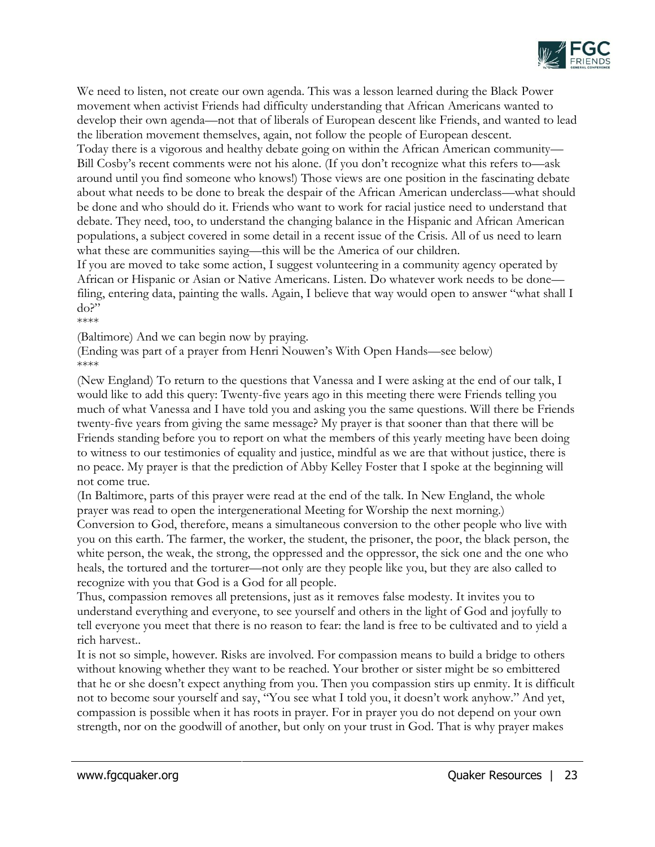

We need to listen, not create our own agenda. This was a lesson learned during the Black Power movement when activist Friends had difficulty understanding that African Americans wanted to develop their own agenda—not that of liberals of European descent like Friends, and wanted to lead the liberation movement themselves, again, not follow the people of European descent.

Today there is a vigorous and healthy debate going on within the African American community— Bill Cosby's recent comments were not his alone. (If you don't recognize what this refers to—ask around until you find someone who knows!) Those views are one position in the fascinating debate about what needs to be done to break the despair of the African American underclass—what should be done and who should do it. Friends who want to work for racial justice need to understand that debate. They need, too, to understand the changing balance in the Hispanic and African American populations, a subject covered in some detail in a recent issue of the Crisis. All of us need to learn what these are communities saying—this will be the America of our children.

If you are moved to take some action, I suggest volunteering in a community agency operated by African or Hispanic or Asian or Native Americans. Listen. Do whatever work needs to be done filing, entering data, painting the walls. Again, I believe that way would open to answer "what shall I do?"

\*\*\*\*

(Baltimore) And we can begin now by praying.

(Ending was part of a prayer from Henri Nouwen's With Open Hands—see below) \*\*\*\*

(New England) To return to the questions that Vanessa and I were asking at the end of our talk, I would like to add this query: Twenty-five years ago in this meeting there were Friends telling you much of what Vanessa and I have told you and asking you the same questions. Will there be Friends twenty-five years from giving the same message? My prayer is that sooner than that there will be Friends standing before you to report on what the members of this yearly meeting have been doing to witness to our testimonies of equality and justice, mindful as we are that without justice, there is no peace. My prayer is that the prediction of Abby Kelley Foster that I spoke at the beginning will not come true.

(In Baltimore, parts of this prayer were read at the end of the talk. In New England, the whole prayer was read to open the intergenerational Meeting for Worship the next morning.)

Conversion to God, therefore, means a simultaneous conversion to the other people who live with you on this earth. The farmer, the worker, the student, the prisoner, the poor, the black person, the white person, the weak, the strong, the oppressed and the oppressor, the sick one and the one who heals, the tortured and the torturer—not only are they people like you, but they are also called to recognize with you that God is a God for all people.

Thus, compassion removes all pretensions, just as it removes false modesty. It invites you to understand everything and everyone, to see yourself and others in the light of God and joyfully to tell everyone you meet that there is no reason to fear: the land is free to be cultivated and to yield a rich harvest..

It is not so simple, however. Risks are involved. For compassion means to build a bridge to others without knowing whether they want to be reached. Your brother or sister might be so embittered that he or she doesn't expect anything from you. Then you compassion stirs up enmity. It is difficult not to become sour yourself and say, "You see what I told you, it doesn't work anyhow." And yet, compassion is possible when it has roots in prayer. For in prayer you do not depend on your own strength, nor on the goodwill of another, but only on your trust in God. That is why prayer makes